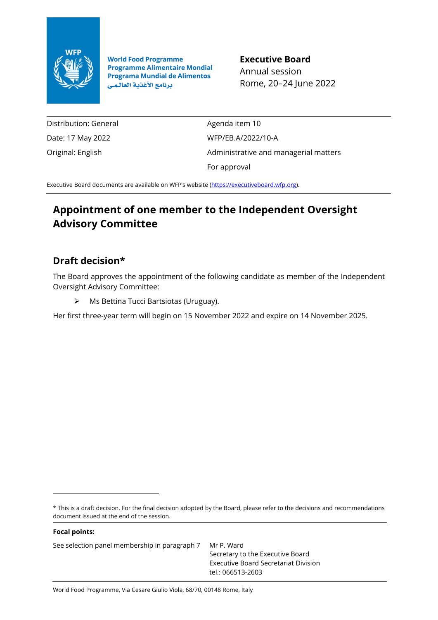

**World Food Programme Programme Alimentaire Mondial Programa Mundial de Alimentos** برنامج الأغذية العالمي

**Executive Board** Annual session Rome, 20–24 June 2022

Distribution: General Date: 17 May 2022 Original: English

Agenda item 10 WFP/EB.A/2022/10-A Administrative and managerial matters For approval

Executive Board documents are available on WFP's website [\(https://executiveboard.wfp.org\)](https://executiveboard.wfp.org/).

# **Appointment of one member to the Independent Oversight Advisory Committee**

## **Draft decision\***

The Board approves the appointment of the following candidate as member of the Independent Oversight Advisory Committee:

➢ Ms Bettina Tucci Bartsiotas (Uruguay).

Her first three-year term will begin on 15 November 2022 and expire on 14 November 2025.

\* This is a draft decision. For the final decision adopted by the Board, please refer to the decisions and recommendations document issued at the end of the session.

See selection panel membership in paragraph 7 Mr P. Ward

**Focal points:**

Secretary to the Executive Board Executive Board Secretariat Division tel.: 066513-2603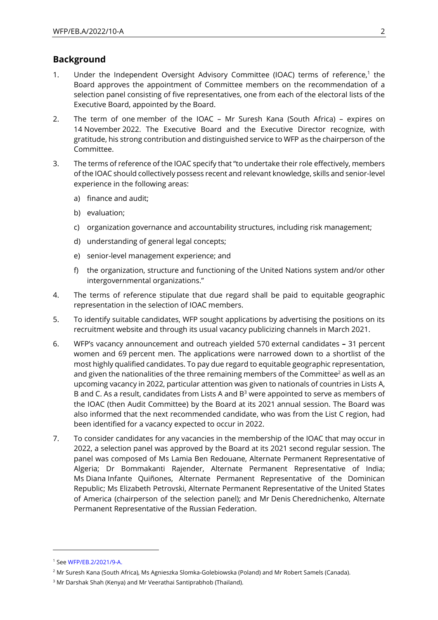## **Background**

- 1. Under the Independent Oversight Advisory Committee (IOAC) terms of reference,<sup>1</sup> the Board approves the appointment of Committee members on the recommendation of a selection panel consisting of five representatives, one from each of the electoral lists of the Executive Board, appointed by the Board.
- 2. The term of one member of the IOAC Mr Suresh Kana (South Africa) expires on 14 November 2022. The Executive Board and the Executive Director recognize, with gratitude, his strong contribution and distinguished service to WFP as the chairperson of the Committee.
- 3. The terms of reference of the IOAC specify that "to undertake their role effectively, members of the IOAC should collectively possess recent and relevant knowledge, skills and senior-level experience in the following areas:
	- a) finance and audit;
	- b) evaluation;
	- c) organization governance and accountability structures, including risk management;
	- d) understanding of general legal concepts;
	- e) senior-level management experience; and
	- f) the organization, structure and functioning of the United Nations system and/or other intergovernmental organizations."
- 4. The terms of reference stipulate that due regard shall be paid to equitable geographic representation in the selection of IOAC members.
- 5. To identify suitable candidates, WFP sought applications by advertising the positions on its recruitment website and through its usual vacancy publicizing channels in March 2021.
- 6. WFP's vacancy announcement and outreach yielded 570 external candidates **–** 31 percent women and 69 percent men. The applications were narrowed down to a shortlist of the most highly qualified candidates. To pay due regard to equitable geographic representation, and given the nationalities of the three remaining members of the Committee<sup>2</sup> as well as an upcoming vacancy in 2022, particular attention was given to nationals of countries in Lists A, B and C. As a result, candidates from Lists A and  $B<sup>3</sup>$  were appointed to serve as members of the IOAC (then Audit Committee) by the Board at its 2021 annual session. The Board was also informed that the next recommended candidate, who was from the List C region, had been identified for a vacancy expected to occur in 2022.
- 7. To consider candidates for any vacancies in the membership of the IOAC that may occur in 2022, a selection panel was approved by the Board at its 2021 second regular session. The panel was composed of Ms Lamia Ben Redouane, Alternate Permanent Representative of Algeria; Dr Bommakanti Rajender, Alternate Permanent Representative of India; Ms Diana Infante Quiñones, Alternate Permanent Representative of the Dominican Republic; Ms Elizabeth Petrovski, Alternate Permanent Representative of the United States of America (chairperson of the selection panel); and Mr Denis Cherednichenko, Alternate Permanent Representative of the Russian Federation.

<sup>1</sup> Se[e WFP/EB.2/2021/9-A.](https://docs.wfp.org/api/documents/WFP-0000099367/download/)

<sup>2</sup> Mr Suresh Kana (South Africa), Ms Agnieszka Slomka-Golebiowska (Poland) and Mr Robert Samels (Canada).

<sup>&</sup>lt;sup>3</sup> Mr Darshak Shah (Kenya) and Mr Veerathai Santiprabhob (Thailand).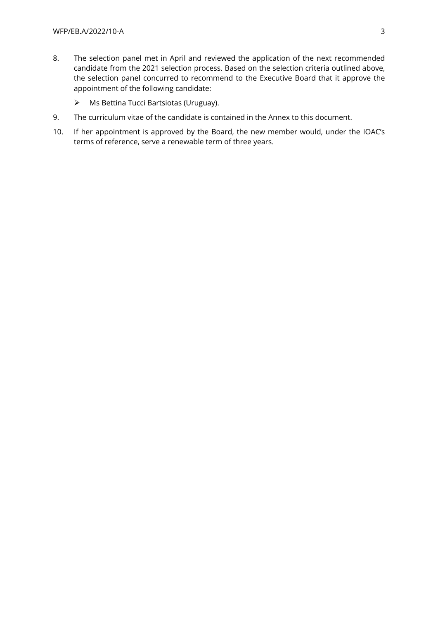- 8. The selection panel met in April and reviewed the application of the next recommended candidate from the 2021 selection process. Based on the selection criteria outlined above, the selection panel concurred to recommend to the Executive Board that it approve the appointment of the following candidate:
	- ➢ Ms Bettina Tucci Bartsiotas (Uruguay).
- 9. The curriculum vitae of the candidate is contained in the Annex to this document.
- 10. If her appointment is approved by the Board, the new member would, under the IOAC's terms of reference, serve a renewable term of three years.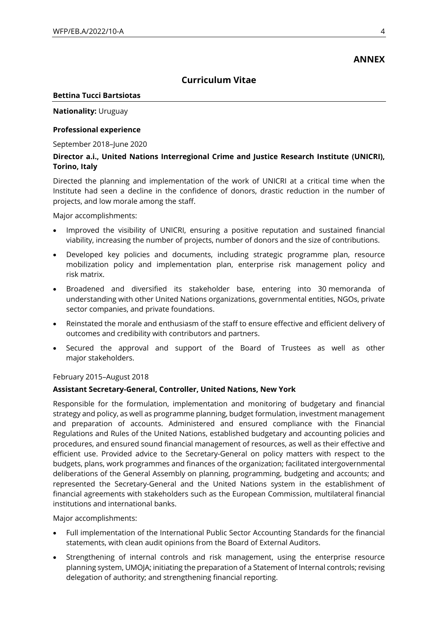## **ANNEX**

## **Curriculum Vitae**

#### **Bettina Tucci Bartsiotas**

## **Nationality:** Uruguay

## **Professional experience**

September 2018-June 2020

## **Director a.i., United Nations Interregional Crime and Justice Research Institute (UNICRI), Torino, Italy**

Directed the planning and implementation of the work of UNICRI at a critical time when the Institute had seen a decline in the confidence of donors, drastic reduction in the number of projects, and low morale among the staff.

Major accomplishments:

- Improved the visibility of UNICRI, ensuring a positive reputation and sustained financial viability, increasing the number of projects, number of donors and the size of contributions.
- Developed key policies and documents, including strategic programme plan, resource mobilization policy and implementation plan, enterprise risk management policy and risk matrix.
- Broadened and diversified its stakeholder base, entering into 30 memoranda of understanding with other United Nations organizations, governmental entities, NGOs, private sector companies, and private foundations.
- Reinstated the morale and enthusiasm of the staff to ensure effective and efficient delivery of outcomes and credibility with contributors and partners.
- Secured the approval and support of the Board of Trustees as well as other major stakeholders.

#### February 2015–August 2018

#### **Assistant Secretary-General, Controller, United Nations, New York**

Responsible for the formulation, implementation and monitoring of budgetary and financial strategy and policy, as well as programme planning, budget formulation, investment management and preparation of accounts. Administered and ensured compliance with the Financial Regulations and Rules of the United Nations, established budgetary and accounting policies and procedures, and ensured sound financial management of resources, as well as their effective and efficient use. Provided advice to the Secretary-General on policy matters with respect to the budgets, plans, work programmes and finances of the organization; facilitated intergovernmental deliberations of the General Assembly on planning, programming, budgeting and accounts; and represented the Secretary-General and the United Nations system in the establishment of financial agreements with stakeholders such as the European Commission, multilateral financial institutions and international banks.

Major accomplishments:

- Full implementation of the International Public Sector Accounting Standards for the financial statements, with clean audit opinions from the Board of External Auditors.
- Strengthening of internal controls and risk management, using the enterprise resource planning system, UMOJA; initiating the preparation of a Statement of Internal controls; revising delegation of authority; and strengthening financial reporting.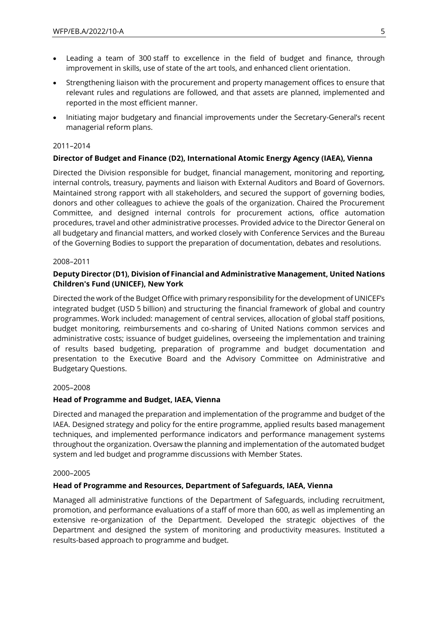- Leading a team of 300 staff to excellence in the field of budget and finance, through improvement in skills, use of state of the art tools, and enhanced client orientation.
- Strengthening liaison with the procurement and property management offices to ensure that relevant rules and regulations are followed, and that assets are planned, implemented and reported in the most efficient manner.
- Initiating major budgetary and financial improvements under the Secretary-General's recent managerial reform plans.

#### 2011–2014

## **Director of Budget and Finance (D2), International Atomic Energy Agency (IAEA), Vienna**

Directed the Division responsible for budget, financial management, monitoring and reporting, internal controls, treasury, payments and liaison with External Auditors and Board of Governors. Maintained strong rapport with all stakeholders, and secured the support of governing bodies, donors and other colleagues to achieve the goals of the organization. Chaired the Procurement Committee, and designed internal controls for procurement actions, office automation procedures, travel and other administrative processes. Provided advice to the Director General on all budgetary and financial matters, and worked closely with Conference Services and the Bureau of the Governing Bodies to support the preparation of documentation, debates and resolutions.

#### 2008–2011

## **Deputy Director (D1), Division of Financial and Administrative Management, United Nations Children's Fund (UNICEF), New York**

Directed the work of the Budget Office with primary responsibility for the development of UNICEF's integrated budget (USD 5 billion) and structuring the financial framework of global and country programmes. Work included: management of central services, allocation of global staff positions, budget monitoring, reimbursements and co-sharing of United Nations common services and administrative costs; issuance of budget guidelines, overseeing the implementation and training of results based budgeting, preparation of programme and budget documentation and presentation to the Executive Board and the Advisory Committee on Administrative and Budgetary Questions.

#### 2005–2008

#### **Head of Programme and Budget, IAEA, Vienna**

Directed and managed the preparation and implementation of the programme and budget of the IAEA. Designed strategy and policy for the entire programme, applied results based management techniques, and implemented performance indicators and performance management systems throughout the organization. Oversaw the planning and implementation of the automated budget system and led budget and programme discussions with Member States.

#### 2000–2005

#### **Head of Programme and Resources, Department of Safeguards, IAEA, Vienna**

Managed all administrative functions of the Department of Safeguards, including recruitment, promotion, and performance evaluations of a staff of more than 600, as well as implementing an extensive re-organization of the Department. Developed the strategic objectives of the Department and designed the system of monitoring and productivity measures. Instituted a results-based approach to programme and budget.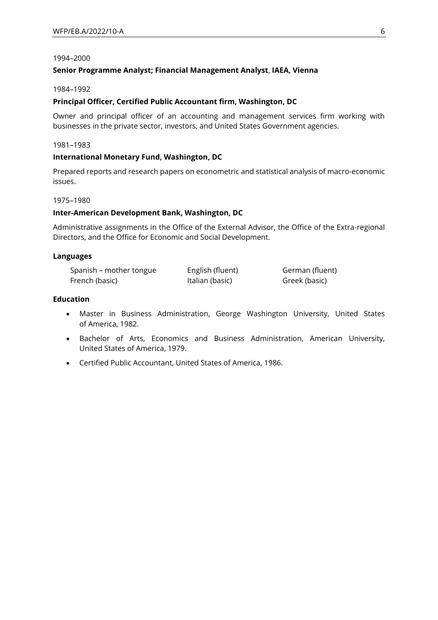#### 1994–2000

#### **Senior Programme Analyst; Financial Management Analyst**, **IAEA, Vienna**

#### 1984–1992

#### **Principal Officer, Certified Public Accountant firm, Washington, DC**

Owner and principal officer of an accounting and management services firm working with businesses in the private sector, investors, and United States Government agencies.

1981–1983

#### **International Monetary Fund, Washington, DC**

Prepared reports and research papers on econometric and statistical analysis of macro-economic issues.

#### 1975–1980

#### **Inter-American Development Bank, Washington, DC**

Administrative assignments in the Office of the External Advisor, the Office of the Extra-regional Directors, and the Office for Economic and Social Development.

#### **Languages**

| Spanish – mother tongue | English (fluent) | German (fluent) |
|-------------------------|------------------|-----------------|
| French (basic)          | Italian (basic)  | Greek (basic)   |

#### **Education**

- Master in Business Administration, George Washington University, United States of America, 1982.
- Bachelor of Arts, Economics and Business Administration, American University, United States of America, 1979.
- Certified Public Accountant, United States of America, 1986.